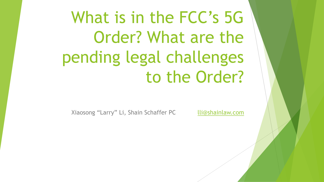What is in the FCC's 5G Order? What are the pending legal challenges to the Order?

Xiaosong "Larry" Li, Shain Schaffer PC [lli@shainlaw.com](mailto:lli@shainlaw.com)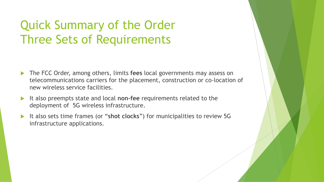# Quick Summary of the Order Three Sets of Requirements

- The FCC Order, among others, limits **fees** local governments may assess on telecommunications carriers for the placement, construction or co-location of new wireless service facilities.
- It also preempts state and local **non-fee** requirements related to the deployment of 5G wireless infrastructure.
- It also sets time frames (or "**shot clocks**") for municipalities to review 5G infrastructure applications.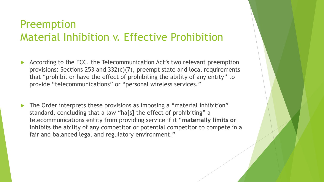#### Preemption Material Inhibition v. Effective Prohibition

- According to the FCC, the Telecommunication Act's two relevant preemption provisions: Sections 253 and 332(c)(7), preempt state and local requirements that "prohibit or have the effect of prohibiting the ability of any entity" to provide "telecommunications" or "personal wireless services."
- The Order interprets these provisions as imposing a "material inhibition" standard, concluding that a law "ha[s] the effect of prohibiting" a telecommunications entity from providing service if it "**materially limits or inhibits** the ability of any competitor or potential competitor to compete in a fair and balanced legal and regulatory environment."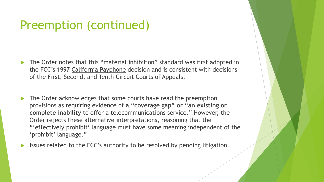## Preemption (continued)

- The Order notes that this "material inhibition" standard was first adopted in the FCC's 1997 California Payphone decision and is consistent with decisions of the First, Second, and Tenth Circuit Courts of Appeals.
- The Order acknowledges that some courts have read the preemption provisions as requiring evidence of **a "coverage gap" or "an existing or complete inability** to offer a telecommunications service." However, the Order rejects these alternative interpretations, reasoning that the "'effectively prohibit' language must have some meaning independent of the 'prohibit' language."
- Issues related to the FCC's authority to be resolved by pending litigation.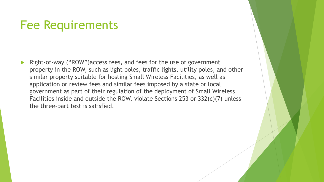#### Fee Requirements

 Right-of-way ("ROW")access fees, and fees for the use of government property in the ROW, such as light poles, traffic lights, utility poles, and other similar property suitable for hosting Small Wireless Facilities, as well as application or review fees and similar fees imposed by a state or local government as part of their regulation of the deployment of Small Wireless Facilities inside and outside the ROW, violate Sections 253 or 332(c)(7) unless the three-part test is satisfied.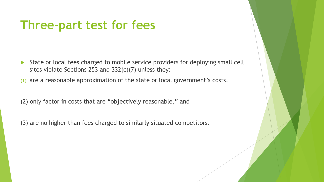## **Three-part test for fees**

- State or local fees charged to mobile service providers for deploying small cell sites violate Sections 253 and 332(c)(7) unless they:
- (1) are a reasonable approximation of the state or local government's costs,

(2) only factor in costs that are "objectively reasonable," and

(3) are no higher than fees charged to similarly situated competitors.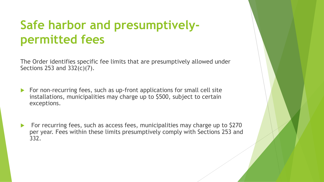# **Safe harbor and presumptivelypermitted fees**

The Order identifies specific fee limits that are presumptively allowed under Sections 253 and 332(c)(7).

- For non-recurring fees, such as up-front applications for small cell site installations, municipalities may charge up to \$500, subject to certain exceptions.
- For recurring fees, such as access fees, municipalities may charge up to \$270 per year. Fees within these limits presumptively comply with Sections 253 and 332.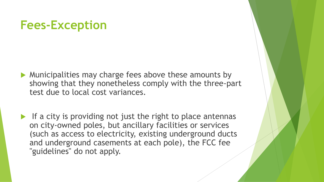## **Fees-Exception**

- **Municipalities may charge fees above these amounts by** showing that they nonetheless comply with the three-part test due to local cost variances.
- If a city is providing not just the right to place antennas on city-owned poles, but ancillary facilities or services (such as access to electricity, existing underground ducts and underground casements at each pole), the FCC fee "guidelines" do not apply.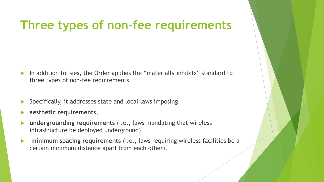## **Three types of non-fee requirements**

- In addition to fees, the Order applies the "materially inhibits" standard to three types of non-fee requirements.
- Specifically, it addresses state and local laws imposing
- **aesthetic requirements,**
- **undergrounding requirements** (i.e., laws mandating that wireless infrastructure be deployed underground),
- **minimum spacing requirements** (i.e., laws requiring wireless facilities be a certain minimum distance apart from each other).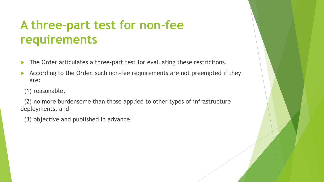# **A three-part test for non-fee requirements**

- The Order articulates a three-part test for evaluating these restrictions.
- According to the Order, such non-fee requirements are not preempted if they are:
- (1) reasonable,

 (2) no more burdensome than those applied to other types of infrastructure deployments, and

(3) objective and published in advance.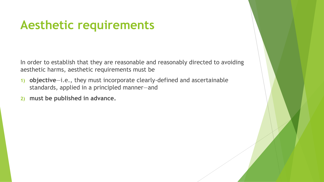## **Aesthetic requirements**

In order to establish that they are reasonable and reasonably directed to avoiding aesthetic harms, aesthetic requirements must be

- **1) objective**—i.e., they must incorporate clearly-defined and ascertainable standards, applied in a principled manner—and
- **2) must be published in advance.**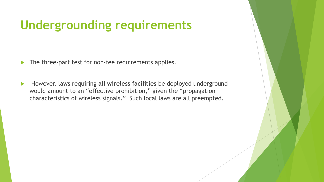# **Undergrounding requirements**

- The three-part test for non-fee requirements applies.
- However, laws requiring **all wireless facilities** be deployed underground would amount to an "effective prohibition," given the "propagation characteristics of wireless signals." Such local laws are all preempted.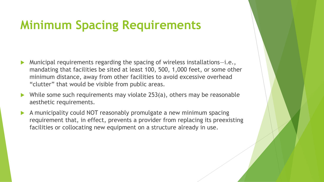## **Minimum Spacing Requirements**

- Municipal requirements regarding the spacing of wireless installations—i.e., mandating that facilities be sited at least 100, 500, 1,000 feet, or some other minimum distance, away from other facilities to avoid excessive overhead "clutter" that would be visible from public areas.
- While some such requirements may violate 253(a), others may be reasonable aesthetic requirements.
- A municipality could NOT reasonably promulgate a new minimum spacing requirement that, in effect, prevents a provider from replacing its preexisting facilities or collocating new equipment on a structure already in use.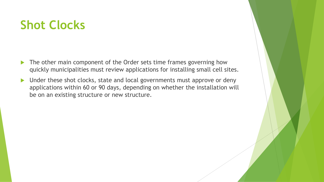# **Shot Clocks**

- The other main component of the Order sets time frames governing how quickly municipalities must review applications for installing small cell sites.
- Inder these shot clocks, state and local governments must approve or deny applications within 60 or 90 days, depending on whether the installation will be on an existing structure or new structure.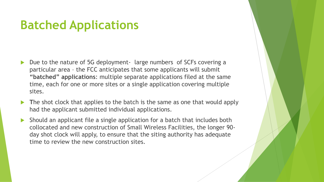## **Batched Applications**

- Due to the nature of 5G deployment- large numbers of SCFs covering a particular area – the FCC anticipates that some applicants will submit **"batched" applications**: multiple separate applications filed at the same time, each for one or more sites or a single application covering multiple sites.
- **T**he shot clock that applies to the batch is the same as one that would apply had the applicant submitted individual applications.
- Should an applicant file a single application for a batch that includes both collocated and new construction of Small Wireless Facilities, the longer 90 day shot clock will apply, to ensure that the siting authority has adequate time to review the new construction sites.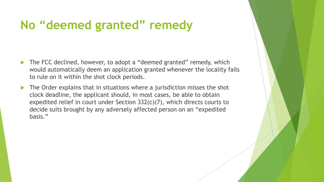## **No "deemed granted" remedy**

- The FCC declined, however, to adopt a "deemed granted" remedy, which would automatically deem an application granted whenever the locality fails to rule on it within the shot clock periods.
- The Order explains that in situations where a jurisdiction misses the shot clock deadline, the applicant should, in most cases, be able to obtain expedited relief in court under Section 332(c)(7), which directs courts to decide suits brought by any adversely affected person on an "expedited basis."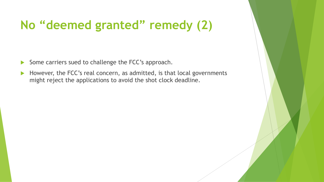# **No "deemed granted" remedy (2)**

- Some carriers sued to challenge the FCC's approach.
- However, the FCC's real concern, as admitted, is that local governments might reject the applications to avoid the shot clock deadline.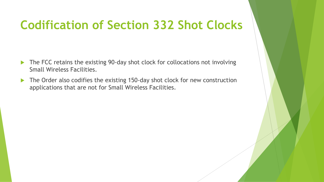# **Codification of Section 332 Shot Clocks**

- ▶ The FCC retains the existing 90-day shot clock for collocations not involving Small Wireless Facilities.
- The Order also codifies the existing 150-day shot clock for new construction applications that are not for Small Wireless Facilities.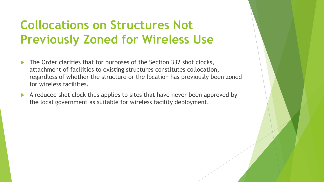# **Collocations on Structures Not Previously Zoned for Wireless Use**

- The Order clarifies that for purposes of the Section 332 shot clocks, attachment of facilities to existing structures constitutes collocation, regardless of whether the structure or the location has previously been zoned for wireless facilities.
- A reduced shot clock thus applies to sites that have never been approved by the local government as suitable for wireless facility deployment.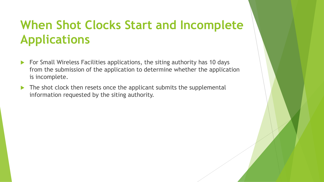# **When Shot Clocks Start and Incomplete Applications**

- ▶ For Small Wireless Facilities applications, the siting authority has 10 days from the submission of the application to determine whether the application is incomplete.
- The shot clock then resets once the applicant submits the supplemental information requested by the siting authority.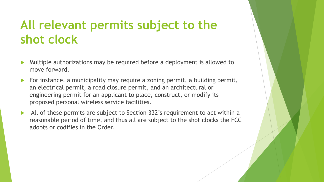## **All relevant permits subject to the shot clock**

- Multiple authorizations may be required before a deployment is allowed to move forward.
- For instance, a municipality may require a zoning permit, a building permit, an electrical permit, a road closure permit, and an architectural or engineering permit for an applicant to place, construct, or modify its proposed personal wireless service facilities.
- All of these permits are subject to Section 332's requirement to act within a reasonable period of time, and thus all are subject to the shot clocks the FCC adopts or codifies in the Order.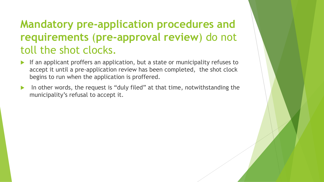#### **Mandatory pre-application procedures and requirements** (**pre-approval review**) do not toll the shot clocks.

- If an applicant proffers an application, but a state or municipality refuses to accept it until a pre-application review has been completed, the shot clock begins to run when the application is proffered.
- In other words, the request is "duly filed" at that time, notwithstanding the municipality's refusal to accept it.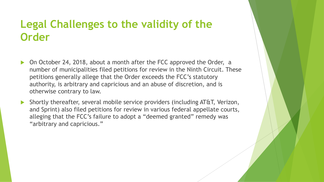#### **Legal Challenges to the validity of the Order**

- On October 24, 2018, about a month after the FCC approved the Order, a number of municipalities filed petitions for review in the Ninth Circuit. These petitions generally allege that the Order exceeds the FCC's statutory authority, is arbitrary and capricious and an abuse of discretion, and is otherwise contrary to law.
- Shortly thereafter, several mobile service providers (including AT&T, Verizon, and Sprint) also filed petitions for review in various federal appellate courts, alleging that the FCC's failure to adopt a "deemed granted" remedy was "arbitrary and capricious."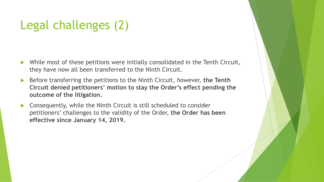# Legal challenges (2)

- While most of these petitions were initially consolidated in the Tenth Circuit, they have now all been transferred to the Ninth Circuit.
- Before transferring the petitions to the Ninth Circuit, however, **the Tenth Circuit denied petitioners' motion to stay the Order's effect pending the outcome of the litigation.**
- Consequently, while the Ninth Circuit is still scheduled to consider petitioners' challenges to the validity of the Order, **the Order has been effective since January 14, 2019.**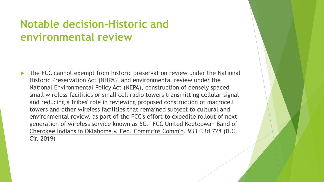#### **Notable decision-Historic and environmental review**

 The FCC cannot exempt from historic preservation review under the National Historic Preservation Act (NHPA), and environmental review under the National Environmental Policy Act (NEPA), construction of densely spaced small wireless facilities or small cell radio towers transmitting cellular signal and reducing a tribes' role in reviewing proposed construction of macrocell towers and other wireless facilities that remained subject to cultural and environmental review, as part of the FCC's effort to expedite rollout of next generation of wireless service known as 5G. FCC United Keetoowah Band of Cherokee Indians in Oklahoma v. Fed. Commc'ns Comm'n, 933 F.3d 728 (D.C. Cir. 2019)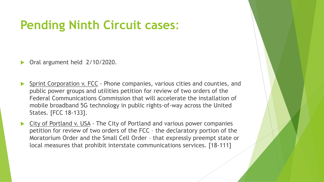# **Pending Ninth Circuit cases**:

- Oral argument held 2/10/2020.
- Sprint Corporation v. FCC Phone companies, various cities and counties, and public power groups and utilities petition for review of two orders of the Federal Communications Commission that will accelerate the installation of mobile broadband 5G technology in public rights-of-way across the United States. [FCC 18-133].
- City of Portland v. USA The City of Portland and various power companies petition for review of two orders of the FCC – the declaratory portion of the Moratorium Order and the Small Cell Order – that expressly preempt state or local measures that prohibit interstate communications services. [18-111]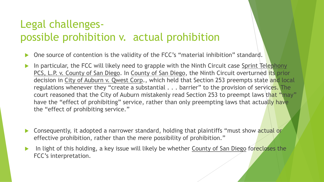#### Legal challengespossible prohibition v. actual prohibition

- One source of contention is the validity of the FCC's "material inhibition" standard.
- In particular, the FCC will likely need to grapple with the Ninth Circuit case Sprint Telephony PCS, L.P. v. County of San Diego. In County of San Diego, the Ninth Circuit overturned its prior decision in City of Auburn v. Qwest Corp., which held that Section 253 preempts state and local regulations whenever they "create a substantial . . . barrier" to the provision of services. The court reasoned that the City of Auburn mistakenly read Section 253 to preempt laws that "may" have the "effect of prohibiting" service, rather than only preempting laws that actually have the "effect of prohibiting service."
- **Consequently, it adopted a narrower standard, holding that plaintiffs "must show actual or**" effective prohibition, rather than the mere possibility of prohibition."
- In light of this holding, a key issue will likely be whether County of San Diego forecloses the FCC's interpretation.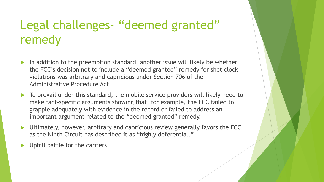# Legal challenges- "deemed granted" remedy

- In addition to the preemption standard, another issue will likely be whether the FCC's decision not to include a "deemed granted" remedy for shot clock violations was arbitrary and capricious under Section 706 of the Administrative Procedure Act
- ▶ To prevail under this standard, the mobile service providers will likely need to make fact-specific arguments showing that, for example, the FCC failed to grapple adequately with evidence in the record or failed to address an important argument related to the "deemed granted" remedy.
- Ultimately, however, arbitrary and capricious review generally favors the FCC as the Ninth Circuit has described it as "highly deferential."
- Uphill battle for the carriers.